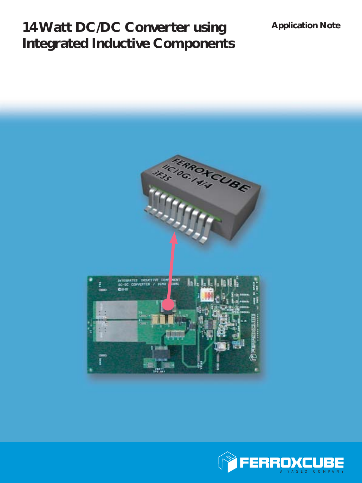# **14 Watt DC/DC Converter using Integrated Inductive Components**

## **Application Note**



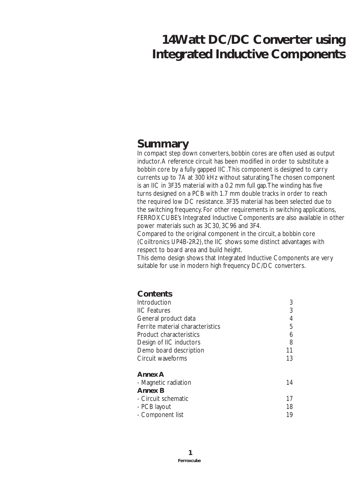# **14Watt DC/DC Converter using Integrated Inductive Components**

# **Summary**

In compact step down converters, bobbin cores are often used as output inductor. A reference circuit has been modified in order to substitute a bobbin core by a fully gapped IIC. This component is designed to carry currents up to 7A at 300 kHz without saturating. The chosen component is an IIC in 3F35 material with a 0.2 mm full gap. The winding has five turns designed on a PCB with 1.7 mm double tracks in order to reach the required low DC resistance. 3F35 material has been selected due to the switching frequency. For other requirements in switching applications, FERROXCUBE's Integrated Inductive Components are also available in other power materials such as 3C30, 3C96 and 3F4.

Compared to the original component in the circuit, a bobbin core (Coiltronics UP4B-2R2), the IIC shows some distinct advantages with respect to board area and build height.

This demo design shows that Integrated Inductive Components are very suitable for use in modern high frequency DC/DC converters.

## **Contents**

| Introduction                     | 3  |
|----------------------------------|----|
| <b>IIC Features</b>              | 3  |
| General product data             | 4  |
| Ferrite material characteristics | 5  |
| Product characteristics          | 6  |
| Design of IIC inductors          | 8  |
| Demo board description           | 11 |
| Circuit waveforms                | 13 |
| <b>Annex A</b>                   |    |
| - Magnetic radiation             | 14 |
| <b>Annex B</b>                   |    |
| - Circuit schematic              | 17 |
| - PCB layout                     | 18 |
| - Component list                 | 19 |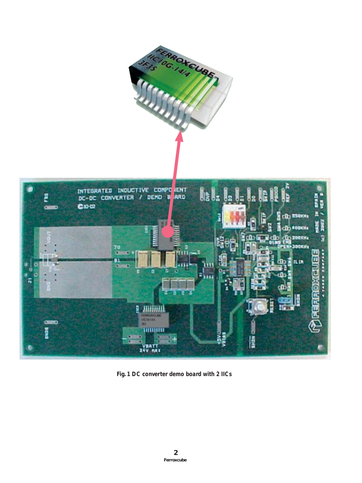

*Fig. 1 DC converter demo board with 2 IICs*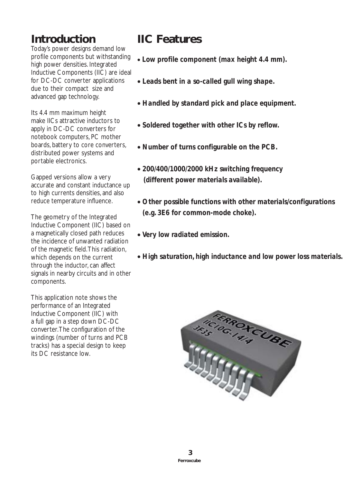# **Introduction**

Today's power designs demand low profile components but withstanding high power densities. Integrated Inductive Components (IIC) are ideal for DC-DC converter applications due to their compact size and advanced gap technology.

Its 4.4 mm maximum height make IICs attractive inductors to apply in DC-DC converters for notebook computers, PC mother boards, battery to core converters, distributed power systems and portable electronics.

Gapped versions allow a very accurate and constant inductance up to high currents densities, and also reduce temperature influence.

The geometry of the Integrated Inductive Component (IIC) based on a magnetically closed path reduces the incidence of unwanted radiation of the magnetic field. This radiation, which depends on the current through the inductor, can affect signals in nearby circuits and in other components.

This application note shows the performance of an Integrated Inductive Component (IIC) with a full gap in a step down DC-DC converter. The configuration of the windings (number of turns and PCB tracks) has a special design to keep its DC resistance low.

# **IIC Features**

- *Low profile component (max height 4.4 mm).*
- *Leads bent in a so-called gull wing shape.*
- *Handled by standard pick and place equipment.*
- *Soldered together with other ICs by reflow.*
- *Number of turns configurable on the PCB.*
- *200/400/1000/2000 kHz switching frequency (different power materials available).*
- *Other possible functions with other materials/configurations (e.g. 3E6 for common-mode choke).*
- *Very low radiated emission.*
- *High saturation, high inductance and low power loss materials.*

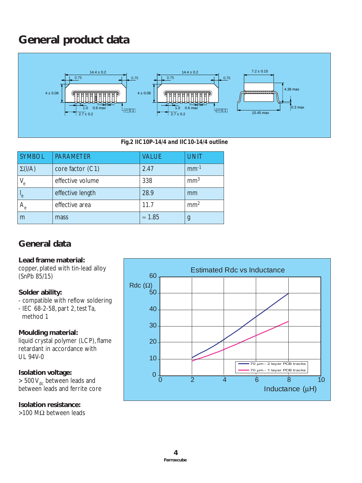# **General product data**



### *Fig.2 IIC10P-14/4 and IIC10-14/4 outline*

| <b>SYMBOL</b>  | <b>PARAMETER</b> | <b>VALUE</b>   | <b>UNIT</b>     |
|----------------|------------------|----------------|-----------------|
| $\Sigma($ l/A) | core factor (C1) | 2.47           | $mm-1$          |
| $V_{e}$        | effective volume | 338            | mm <sup>3</sup> |
| "e"            | effective length | 28.9           | mm              |
| $A_e$          | effective area   | 11.7           | mm <sup>2</sup> |
| m              | mass             | $\approx$ 1.85 | g               |

## **General data**

## **Lead frame material:**

copper, plated with tin-lead alloy (SnPb 85/15)

## **Solder ability:**

- compatible with reflow soldering
- IEC 68-2-58, part 2, test Ta, method 1

## **Moulding material:**

liquid crystal polymer (LCP), flame retardant in accordance with UL 94V-0

## **Isolation voltage:**

 $> 500 V_{dc}$  between leads and between leads and ferrite core

### **Isolation resistance:**

>100 MΩ between leads

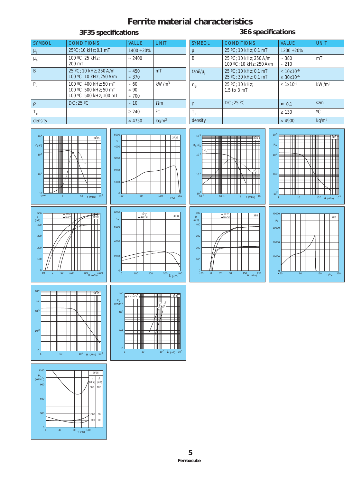## **Ferrite material characteristics**

#### SYMBOL CONDITIONS VALUE UNIT µi 25ºC; 10 kHz; 0.1 mT 1400 ±20%  $\mu_a$  100 °C; 25 kHz; 200 mT  $\approx 2400$ B 25 ºC; 10 kHz; 250 A/m 100 ºC; 10 kHz; 250 A/m  $~\approx 450$ ≈ 370 mT  $P_v$  100 °C; 400 kHz; 50 mT 100 ºC; 500 kHz; 50 mT 100 ºC; 500 kHz; 100 mT ≈ 60 ≈ 90 ≈ 700 kW/m3  $ρ$  DC; 25 °C  $\approx$  10  $\Omega$ m  $T_c$   $|\geq 240$   $|°C$ SYMBOL CONDITIONS VALUE UNIT  $\mu_i$  25 °C; 10 kHz; 0.1 mT 1200 ±20% B 25 ºC; 10 kHz; 250 A/m 100 ºC; 10 kHz; 250 A/m ≈ 380 ≈ 210 mT  $tanδ/μ$ <sub>i</sub> 25 °C; 10 kHz; 0.1 mT 25 ºC; 30 kHz; 0.1 mT  $< 10x10^{-6}$ ≤ 30x10-6  $\eta_B$  25 °C; 10 kHz; 1.5 to 3 mT  $≤ 1x10<sup>-3</sup>$  kW/m<sup>3</sup>  $ρ$  DC; 25 °C  $\approx 0.1$   $\Omega$ m  $T_c$   $|\geq 130$   $|{}^{\circ}C$ **3F35 specifications 3F35 specifications**

.<br>-35







density  $\vert \approx 4900$  kg/m<sup>3</sup>











**THE LITTLE** 

10

 $10$ 

1 10

 $10^2$  H (A/m)  $10^3$ 

**THE HILL** 

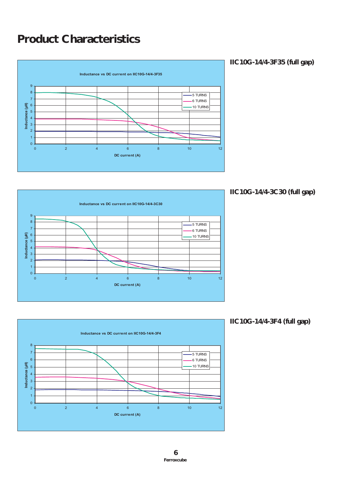# **Product Characteristics**



**IIC10G-14/4-3F35 (full gap)**



**IIC10G-14/4-3C30 (full gap)**



**IIC10G-14/4-3F4 (full gap)**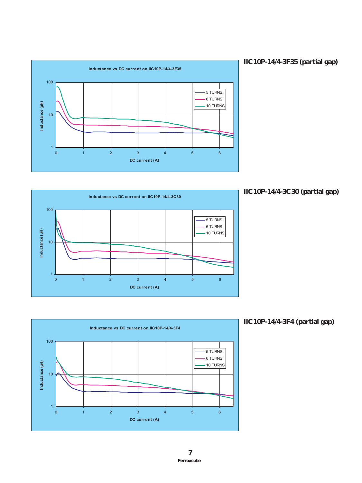





### **IIC10P-14/4-3C30 (partial gap)**



**IIC10P-14/4-3F4 (partial gap)**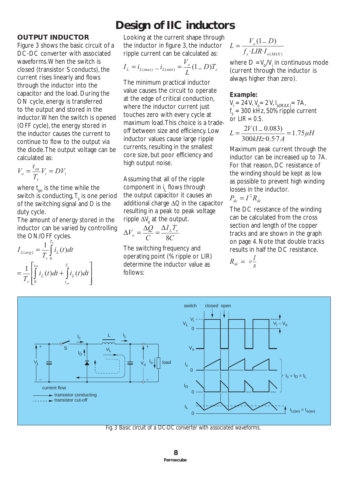### **OUTPUT INDUCTOR**

Figure 3 shows the basic circuit of a DC-DC converter with associated waveforms. When the switch is closed (transistor S conducts), the current rises linearly and flows through the inductor into the capacitor and the load. During the ON cycle, energy is transferred to the output and stored in the inductor. When the switch is opened (OFF cycle), the energy stored in the inductor causes the current to continue to flow to the output via the diode. The output voltage can be calculated as:

$$
V_o = \frac{t_{on}}{T_s} V_i = D V_i
$$

where *t on* is the time while the switch is conducting,  $T_{\mathrm{s}}$  is one period of the switching signal and *D* is the duty cycle.

The amount of energy stored in the inductor can be varied by controlling the ON/OFF cycles.

$$
I_{L(\text{avg})} = \frac{1}{T_s} \int_{0}^{T_s} i_L(t) dt
$$
  
= 
$$
\frac{1}{T_s} \left[ \int_{0}^{t_{\text{on}}} i_L(t) dt + \int_{t_{\text{on}}}^{T_s} i_L(t) dt \right]
$$

# **Design of IIC inductors**

Looking at the current shape through the inductor in figure 3, the inductor ripple current can be calculated as:

$$
I_L = i_{L(max)} - i_{L(min)} = \frac{V_o}{L}(1 - D)T_s
$$

The minimum practical inductor value causes the circuit to operate at the edge of critical conduction, where the inductor current just touches zero with every cycle at maximum load. This choice is a tradeoff between size and efficiency. Low inductor values cause large ripple currents, resulting in the smallest core size, but poor efficiency and high output noise.

Assuming that all of the ripple component in *i <sup>L</sup>* flows through the output capacitor it causes an additional charge ∆*Q* in the capacitor resulting in a peak to peak voltage ripple ∆*V*<sub>o</sub> at the output.

$$
\Delta V_o = \frac{\Delta Q}{C} = \frac{\Delta I_L T_s}{8C}
$$

The switching frequency and operating point (% ripple or LIR) determine the inductor value as follows:

$$
L = \frac{V_o (1 - D)}{f_s \cdot LIR \cdot I_{o(MAX)}}
$$

where  $D = V_{o}/V_{i}$  in continuous mode (current through the inductor is always higher than zero).

### *Example:*

*Vi =* 24 V, *Vo =* 2 V, *I o(MAX)=* 7A,  $f_s = 300 \text{ kHz}$ , 50% ripple current or *LIR = 0.5.*

$$
L = \frac{2V(1 - 0.083)}{300kHz \cdot 0.57A} = 1.75 \mu H
$$

Maximum peak current through the inductor can be increased up to 7A. For that reason, DC resistance of the winding should be kept as low as possible to prevent high winding losses in the inductor.

$$
P_{dc} = I^2 R_{dc}
$$

The DC resistance of the winding can be calculated from the cross section and length of the copper tracks and are shown in the graph on page 4. Note that double tracks results in half the DC resistance.

$$
R_{dc} = \rho \frac{l}{s}
$$



*Fig. 3 Basic circuit of a DC-DC converter with associated waveforms.*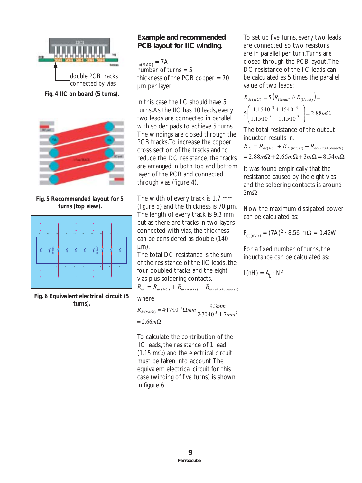

*Fig. 4 IIC on board (5 turns).*



*Fig. 5 Recommended layout for 5 turns (top view).*



*Fig. 6 Equivalent electrical circuit (5 turns).*

## **Example and recommended PCB layout for IIC winding.**

*I o(MAX) =* 7A number of turns  $= 5$ thickness of the PCB copper = 70 µm per layer

In this case the IIC should have 5 turns. As the IIC has 10 leads, every two leads are connected in parallel with solder pads to achieve 5 turns. The windings are closed through the PCB tracks. To increase the copper cross section of the tracks and to reduce the DC resistance, the tracks are arranged in both top and bottom layer of the PCB and connected through vias (figure 4).

The width of every track is 1.7 mm (figure 5) and the thickness is 70 µm. The length of every track is 9.3 mm but as there are tracks in two layers connected with vias, the thickness can be considered as double (140  $µm$ ).

The total DC resistance is the sum of the resistance of the IIC leads, the four doubled tracks and the eight vias plus soldering contacts.

$$
R_{dc} = R_{dc(HC)} + R_{dc(tracks)} + R_{dc(vis + contacts)}
$$

where

$$
R_{dc(racks)} = 4.17 \cdot 10^{-6} \Omega mm \frac{9.3mm}{2.70 \cdot 10^{-3} \cdot 1.7mm^2}
$$
  
= 2.66m $\Omega$ 

To calculate the contribution of the IIC leads, the resistance of 1 lead (1.15 m $\Omega$ ) and the electrical circuit must be taken into account. The equivalent electrical circuit for this case (winding of five turns) is shown in figure 6.

To set up five turns, every two leads are connected, so two resistors are in parallel per turn. Turns are closed through the PCB layout. The DC resistance of the IIC leads can be calculated as 5 times the parallel value of two leads:

$$
R_{dc(HC)} = 5 \left( R_{(1lead)} / / R_{(1lead)} \right) =
$$
  
5 \left( \frac{1.15 \cdot 10^{-3} \cdot 1.15 \cdot 10^{-3}}{1.15 \cdot 10^{-3} + 1.15 \cdot 10^{-3}} \right) = 2.88 m\Omega

The total resistance of the output inductor results in:

$$
R_{dc} = R_{dc(HC)} + R_{dc(racks)} + R_{dc(vias+contacts)}
$$
  
= 2.88 $m\Omega$  + 2.66 $m\Omega$  + 3 $m\Omega$  = 8.54 $m\Omega$ 

It was found empirically that the resistance caused by the eight vias and the soldering contacts is around 3mΩ

Now the maximum dissipated power can be calculated as:

$$
P_{dc(max)} = (7A)^2 \cdot 8.56 \, m\Omega = 0.42 W
$$

For a fixed number of turns, the inductance can be calculated as:

$$
L(nH) = A_L \cdot N^2
$$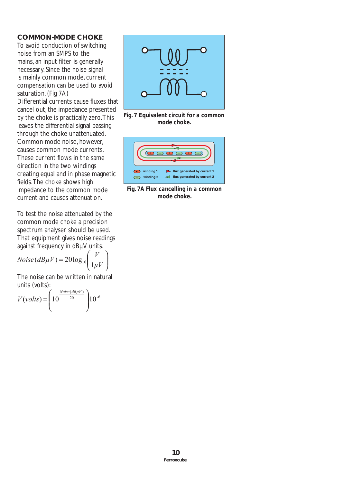### **COMMON-MODE CHOKE**

To avoid conduction of switching noise from an SMPS to the mains, an input filter is generally necessary. Since the noise signal is mainly common mode, current compensation can be used to avoid saturation. (Fig 7A)

Differential currents cause fluxes that cancel out, the impedance presented by the choke is practically zero. This leaves the differential signal passing through the choke unattenuated. Common mode noise, however, causes common mode currents. These current flows in the same direction in the two windings creating equal and in phase magnetic fields. The choke shows high impedance to the common mode current and causes attenuation.

To test the noise attenuated by the common mode choke a precision spectrum analyser should be used. That equipment gives noise readings against frequency in dBµV units.

$$
Noise(dB\mu V) = 20 \log_{10} \left( \frac{V}{1\mu V} \right)
$$

The noise can be written in natural units (volts):

$$
V(volts) = \left(10^{\frac{Noise(dB\mu V)}{20}}\right)10^{-6}
$$



*Fig. 7 Equivalent circuit for a common mode choke.*



*Fig. 7A Flux cancelling in a common mode choke.*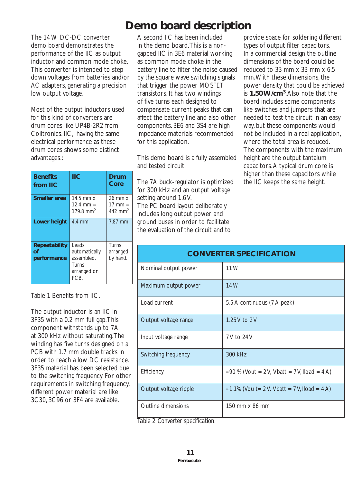The 14 W DC-DC converter demo board demonstrates the performance of the IIC as output inductor and common mode choke. This converter is intended to step down voltages from batteries and/or AC adapters, generating a precision low output voltage.

Most of the output inductors used for this kind of converters are drum cores like UP4B-2R2 from Coiltronics. IIC, having the same electrical performance as these drum cores shows some distinct advantages.:

| <b>Benefits</b><br>from IIC        | ПC                                                                   | Drum<br>Core                                            |
|------------------------------------|----------------------------------------------------------------------|---------------------------------------------------------|
| <b>Smaller area</b>                | $14.5$ mm $x$<br>12.4 mm $=$<br>179.8 mm <sup>2</sup>                | $26$ mm $x$<br>$17 \text{ mm} =$<br>442 mm <sup>2</sup> |
| Lower height                       | 4.4 mm                                                               | 7.87 mm                                                 |
| Repeatability<br>Ωf<br>performance | Leads<br>automatically<br>assembled.<br>Turns<br>arranged on<br>PCB. | <b>Turns</b><br>arranged<br>by hand.                    |

Table 1 Benefits from IIC.

The output inductor is an IIC in 3F35 with a 0.2 mm full gap. This component withstands up to 7A at 300 kHz without saturating. The winding has five turns designed on a PCB with 1.7 mm double tracks in order to reach a low DC resistance. 3F35 material has been selected due to the switching frequency. For other requirements in switching frequency, different power material are like 3C30, 3C96 or 3F4 are available.

# **Demo board description**

A second IIC has been included in the demo board. This is a nongapped IIC in 3E6 material working as common mode choke in the battery line to filter the noise caused by the square wave switching signals that trigger the power MOSFET transistors. It has two windings of five turns each designed to compensate current peaks that can affect the battery line and also other components. 3E6 and 3S4 are high impedance materials recommended for this application.

This demo board is a fully assembled and tested circuit.

The 7A buck-regulator is optimized for 300 kHz and an output voltage setting around 1.6 V. The PC board layout deliberately includes long output power and ground buses in order to facilitate

the evaluation of the circuit and to

provide space for soldering different types of output filter capacitors. In a commercial design the outline dimensions of the board could be reduced to 33 mm x 33 mm x 6.5 mm. With these dimensions, the power density that could be achieved is **1.50 W/cm3**. Also note that the board includes some components like switches and jumpers that are needed to test the circuit in an easy way, but these components would not be included in a real application, where the total area is reduced. The components with the maximum height are the output tantalum capacitors. A typical drum core is higher than these capacitors while the IIC keeps the same height.

| <b>CONVERTER SPECIFICATION</b> |                                               |  |
|--------------------------------|-----------------------------------------------|--|
| Nominal output power           | 11 W                                          |  |
| Maximum output power           | 14 W                                          |  |
| Load current                   | 5.5 A continuous (7 A peak)                   |  |
| Output voltage range           | 1.25 V to 2 V                                 |  |
| Input voltage range            | 7V to 24V                                     |  |
| Switching frequency            | 300 kHz                                       |  |
| Efficiency                     | ≈90 % (Vout = 2 V, Vbatt = 7 V, Iload = 4 A)  |  |
| Output voltage ripple          | ≈1.1% (Vou t = 2 V, Vbatt = 7 V, Iload = 4 A) |  |
| Outline dimensions             | 150 mm x 86 mm                                |  |

*Table 2 Converter specification.*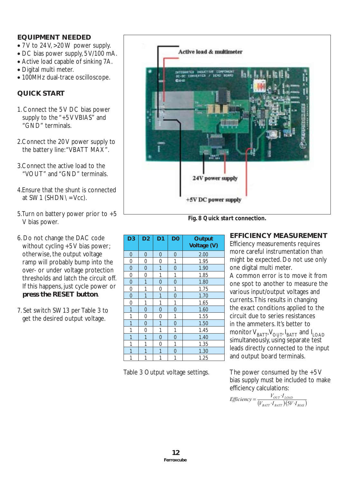### **EQUIPMENT NEEDED**

- 7 V to 24 V, >20 W power supply.
- DC bias power supply, 5 V/100 mA.
- Active load capable of sinking 7A.
- Digital multi meter.
- 100MHz dual-trace oscilloscope.

### **QUICK START**

- 1. Connect the 5 V DC bias power supply to the "+5 V VBIAS" and "GND" terminals.
- 2.Connect the 20 V power supply to the battery line: "VBATT MAX".
- 3.Connect the active load to the "VOUT" and "GND" terminals.
- 4.Ensure that the shunt is connected at SW1 (SHDN $\iota$  = Vcc).
- 5.Turn on battery power prior to +5 V bias power.
- 6. Do not change the DAC code without cycling +5V bias power; otherwise, the output voltage ramp will probably bump into the over- or under voltage protection thresholds and latch the circuit off. If this happens, just cycle power or **press the RESET button**.
- 7. Set switch SW13 per Table 3 to get the desired output voltage.



*Fig. 8 Quick start connection.*

| D <sub>3</sub> | D <sub>2</sub> | D <sub>1</sub> | D <sub>0</sub> | Output<br>Voltage (V) |
|----------------|----------------|----------------|----------------|-----------------------|
| 0              | 0              | 0              | 0              | 2.00                  |
| 0              | 0              | 0              | 1              | 1.95                  |
| $\mathbf 0$    | $\overline{0}$ | 1              | $\overline{0}$ | 1.90                  |
| 0              | 0              | 1              | 1              | 1.85                  |
| $\overline{0}$ | 1              | 0              | $\overline{0}$ | 1.80                  |
| 0              | 1              | 0              | 1              | 1.75                  |
| $\overline{0}$ | $\overline{1}$ | 1              | $\overline{0}$ | 1.70                  |
| 0              | 1              | 1              | 1              | 1.65                  |
| 1              | $\overline{0}$ | $\overline{0}$ | $\overline{0}$ | 1.60                  |
| 1              | 0              | 0              | 1              | 1.55                  |
| 1              | $\overline{0}$ | 1              | $\overline{0}$ | 1.50                  |
| 1              | 0              | 1              | 1              | 1.45                  |
| 1              | 1              | $\overline{0}$ | $\overline{0}$ | 1.40                  |
| 1              | $\mathbf{1}$   | 0              | 1              | 1.35                  |
| 1              | 1              | 1              | $\overline{0}$ | 1.30                  |
| 1              | 1              | 1              | 1              | 1.25                  |

Table 3 Output voltage settings.

### **EFFICIENCY MEASUREMENT**

Efficiency measurements requires more careful instrumentation than might be expected. Do not use only one digital multi meter.

A common error is to move it from one spot to another to measure the various input/output voltages and currents. This results in changing the exact conditions applied to the circuit due to series resistances in the ammeters. It's better to monitor  $V_{BAT}V_{OUT}I_{BAT}$  and  $I_{LOAD}$ simultaneously, using separate test leads directly connected to the input and output board terminals.

The power consumed by the  $+5V$ bias supply must be included to make efficiency calculations:

$$
Efficiency = \frac{V_{OUT} \cdot I_{LOAD}}{(V_{BAT} \cdot I_{BAT})(5V \cdot I_{BIAS})}
$$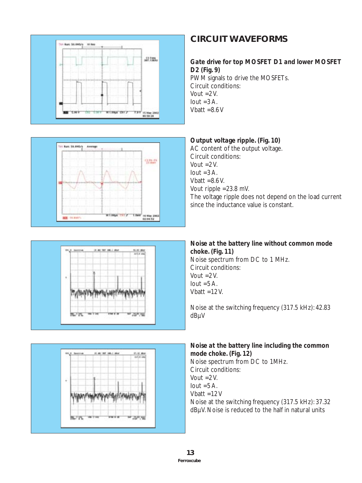



### *Gate drive for top MOSFET D1 and lower MOSFET D2 (Fig. 9)*

PWM signals to drive the MOSFETs. Circuit conditions: Vout  $=2V$ .  $I$ out =3 $A$ . Vhatt  $=8.6$  V



## *Output voltage ripple. (Fig. 10)*

AC content of the output voltage. Circuit conditions: Vout  $=2V$ .  $I$ out =3 $A$ . Vhatt  $=8.6$  V. Vout ripple =23.8 mV. The voltage ripple does not depend on the load current since the inductance value is constant.





## *Noise at the battery line without common mode choke. (Fig. 11)* Noise spectrum from DC to 1 MHz.

Circuit conditions: Vout  $=2V$ .  $I$ out =5 A. Vbatt  $=12$  V.

Noise at the switching frequency (317.5 kHz): 42.83 dBµV

*Noise at the battery line including the common mode choke. (Fig. 12)*

Noise spectrum from DC to 1MHz. Circuit conditions: Vout  $=2$  V. Iout  $=5$  A. Vbatt =12 V Noise at the switching frequency (317.5 kHz): 37.32 dBµV. Noise is reduced to the half in natural units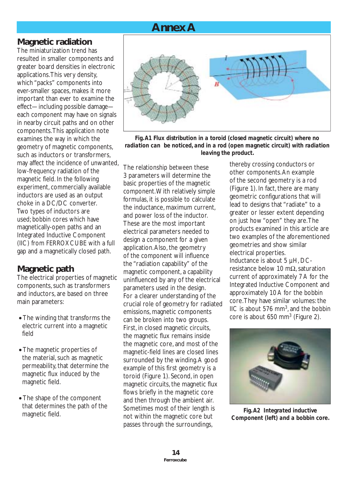

## **Magnetic radiation**

The miniaturization trend has resulted in smaller components and greater board densities in electronic applications. This very density, which "packs" components into ever-smaller spaces, makes it more important than ever to examine the effect—including possible damage each component may have on signals in nearby circuit paths and on other components. This application note examines the way in which the geometry of magnetic components, such as inductors or transformers, may affect the incidence of unwanted, low-frequency radiation of the magnetic field. In the following experiment, commercially available inductors are used as an output choke in a DC/DC converter. Two types of inductors are used; bobbin cores which have magnetically-open paths and an Integrated Inductive Component (IIC) from FERROXCUBE with a full gap and a magnetically closed path.

## **Magnetic path**

The electrical properties of magnetic components, such as transformers and inductors, are based on three main parameters:

- The winding that transforms the electric current into a magnetic field
- The magnetic properties of the material, such as magnetic permeability, that determine the magnetic flux induced by the magnetic field.
- The shape of the component that determines the path of the magnetic field.



*Fig. A1 Flux distribution in a toroid (closed magnetic circuit) where no radiation can be noticed, and in a rod (open magnetic circuit) with radiation leaving the product.* 

The relationship between these 3 parameters will determine the basic properties of the magnetic component. With relatively simple formulas, it is possible to calculate the inductance, maximum current, and power loss of the inductor. These are the most important electrical parameters needed to design a component for a given application. Also, the geometry of the component will influence the "radiation capability" of the magnetic component, a capability uninfluenced by any of the electrical parameters used in the design. For a clearer understanding of the crucial role of geometry for radiated emissions, magnetic components can be broken into two groups. First, in closed magnetic circuits, the magnetic flux remains inside the magnetic core, and most of the magnetic-field lines are closed lines surrounded by the winding. A good example of this first geometry is a toroid (Figure 1). Second, in open magnetic circuits, the magnetic flux flows briefly in the magnetic core and then through the ambient air. Sometimes most of their length is not within the magnetic core but passes through the surroundings,

thereby crossing conductors or other components. An example of the second geometry is a rod (Figure 1). In fact, there are many geometric configurations that will lead to designs that "radiate" to a greater or lesser extent depending on just how "open" they are. The products examined in this article are two examples of the aforementioned geometries and show similar electrical properties. Inductance is about 5 µH, DC-

resistance below 10 mΩ, saturation current of approximately 7 A for the Integrated Inductive Component and approximately 10 A for the bobbin core. They have similar volumes: the IIC is about 576  $mm<sup>3</sup>$ , and the bobbin core is about 650 mm<sup>3</sup> (Figure 2).



*Fig. A2 Integrated inductive Component (left) and a bobbin core.*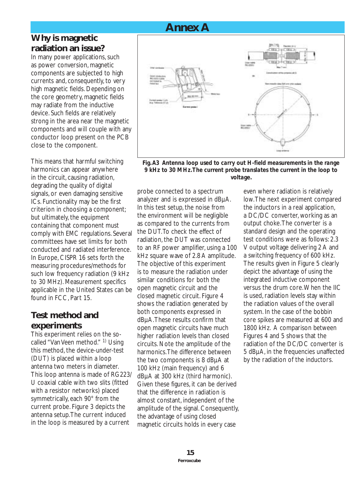# **Annex A**

## **Why is magnetic radiation an issue?**

In many power applications, such as power conversion, magnetic components are subjected to high currents and, consequently, to very high magnetic fields. Depending on the core geometry, magnetic fields may radiate from the inductive device. Such fields are relatively strong in the area near the magnetic components and will couple with any conductor loop present on the PCB close to the component.

This means that harmful switching harmonics can appear anywhere in the circuit, causing radiation, degrading the quality of digital signals, or even damaging sensitive ICs. Functionality may be the first criterion in choosing a component; but ultimately, the equipment containing that component must comply with EMC regulations. Several committees have set limits for both conducted and radiated interference. In Europe, CISPR 16 sets forth the measuring procedures/methods for such low frequency radiation (9 kHz to 30 MHz). Measurement specifics applicable in the United States can be found in FCC, Part 15.

## **Test method and experiments**

This experiment relies on the socalled "Van Veen method." <sup>1)</sup> Using this method, the device-under-test (DUT) is placed within a loop antenna two meters in diameter. This loop antenna is made of RG223/ U coaxial cable with two slits (fitted with a resistor networks) placed symmetrically, each 90° from the current probe. Figure 3 depicts the antenna setup. The current induced in the loop is measured by a current



*Fig. A3 Antenna loop used to carry out H-field measurements in the range 9 kHz to 30 MHz. The current probe translates the current in the loop to voltage.* 

probe connected to a spectrum analyzer and is expressed in dBµA. In this test setup, the noise from the environment will be negligible as compared to the currents from the DUT. To check the effect of radiation, the DUT was connected to an RF power amplifier, using a 100 kHz square wave of 2.8 A amplitude. The objective of this experiment is to measure the radiation under similar conditions for both the open magnetic circuit and the closed magnetic circuit. Figure 4 shows the radiation generated by both components expressed in dBµA. These results confirm that open magnetic circuits have much higher radiation levels than closed circuits. Note the amplitude of the harmonics. The difference between the two components is 8 dBµA at 100 kHz (main frequency) and 6 dBµA at 300 kHz (third harmonic). Given these figures, it can be derived that the difference in radiation is almost constant, independent of the amplitude of the signal. Consequently, the advantage of using closed magnetic circuits holds in every case

even where radiation is relatively low. The next experiment compared the inductors in a real application, a DC/DC converter, working as an output choke. The converter is a standard design and the operating test conditions were as follows: 2.3 V output voltage delivering 2 A and a switching frequency of 600 kHz. The results given in Figure 5 clearly depict the advantage of using the integrated inductive component versus the drum core. When the IIC is used, radiation levels stay within the radiation values of the overall system. In the case of the bobbin core spikes are measured at 600 and 1800 kHz. A comparison between Figures 4 and 5 shows that the radiation of the DC/DC converter is 5 dBµA, in the frequencies unaffected by the radiation of the inductors.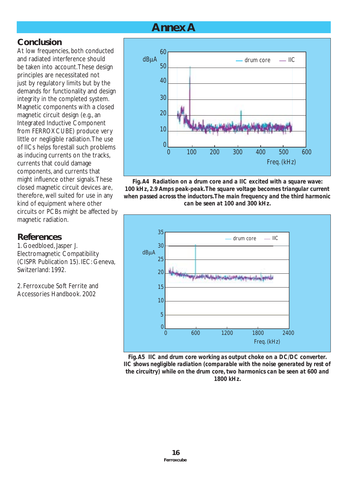# **Annex A**

## **Conclusion**

At low frequencies, both conducted and radiated interference should be taken into account. These design principles are necessitated not just by regulatory limits but by the demands for functionality and design integrity in the completed system. Magnetic components with a closed magnetic circuit design (e.g., an Integrated Inductive Component from FERROXCUBE) produce very little or negligible radiation. The use of IICs helps forestall such problems as inducing currents on the tracks, currents that could damage components, and currents that might influence other signals. These closed magnetic circuit devices are, therefore, well suited for use in any kind of equipment where other circuits or PCBs might be affected by magnetic radiation.

## **References**

1. Goedbloed, Jasper J. Electromagnetic Compatibility (CISPR Publication 15). IEC: Geneva, Switzerland: 1992.

2. Ferroxcube Soft Ferrite and Accessories Handbook. 2002



*Fig. A4 Radiation on a drum core and a IIC excited with a square wave: 100 kHz, 2.9 Amps peak-peak. The square voltage becomes triangular current when passed across the inductors. The main frequency and the third harmonic can be seen at 100 and 300 kHz.* 



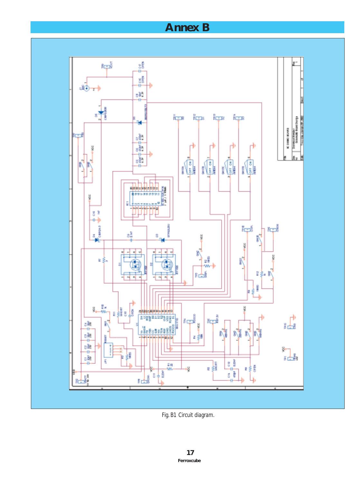# **Annex B**



*Fig. B1 Circuit diagram.*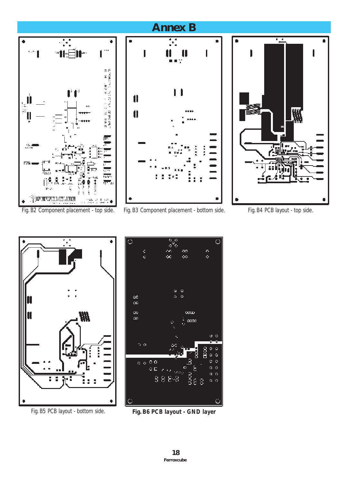





*Fig. B5 PCB layout - bottom side. Fig. B6 PCB layout - GND layer*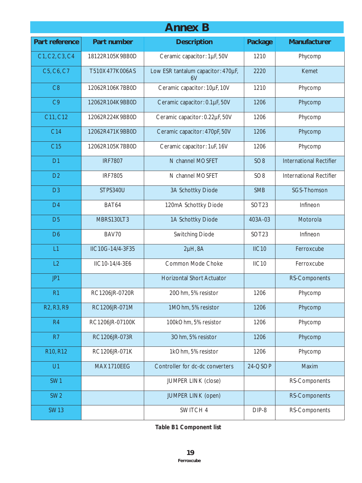| <b>Annex B</b>                                   |                  |                                          |                   |                                |
|--------------------------------------------------|------------------|------------------------------------------|-------------------|--------------------------------|
| <b>Part reference</b>                            | Part number      | <b>Description</b>                       | Package           | <b>Manufacturer</b>            |
| C1, C2, C3, C4                                   | 18122R105K9BB0D  | Ceramic capacitor: 1µF, 50V              | 1210              | Phycomp                        |
| C5, C6, C7                                       | T510X477K006AS   | Low ESR tantalum capacitor: 470µF,<br>6V | 2220              | Kemet                          |
| C8                                               | 12062R106K7BB0D  | Ceramic capacitor: 10µF, 10V             | 1210              | Phycomp                        |
| C <sub>9</sub>                                   | 12062R104K9BB0D  | Ceramic capacitor: 0.1µF, 50V            | 1206              | Phycomp                        |
| C11, C12                                         | 12062R224K9BB0D  | Ceramic capacitor: 0.22µF, 50V           | 1206              | Phycomp                        |
| C14                                              | 12062R471K9BB0D  | Ceramic capacitor: 470pF, 50V            | 1206              | Phycomp                        |
| C <sub>15</sub>                                  | 12062R105K7BB0D  | Ceramic capacitor: 1uF, 16V              | 1206              | Phycomp                        |
| D <sub>1</sub>                                   | <b>IRF7807</b>   | N channel MOSFET                         | SO <sub>8</sub>   | <b>International Rectifier</b> |
| D <sub>2</sub>                                   | <b>IRF7805</b>   | N channel MOSFET                         | SO <sub>8</sub>   | <b>International Rectifier</b> |
| D <sub>3</sub>                                   | <b>STPS340U</b>  | 3A Schottky Diode                        | <b>SMB</b>        | <b>SGS-Thomson</b>             |
| D <sub>4</sub>                                   | BAT64            | 120mA Schottky Diode                     | SOT <sub>23</sub> | Infineon                       |
| D <sub>5</sub>                                   | MBRS130LT3       | 1A Schottky Diode                        | 403A-03           | Motorola                       |
| D <sub>6</sub>                                   | BAV70            | <b>Switching Diode</b>                   | SOT <sub>23</sub> | Infineon                       |
| L1                                               | IIC10G-14/4-3F35 | $2\mu$ H, $8A$                           | IIC10             | Ferroxcube                     |
| L2                                               | IIC10-14/4-3E6   | Common Mode Choke                        | IIC10             | Ferroxcube                     |
| JP1                                              |                  | <b>Horizontal Short Actuator</b>         |                   | RS-Components                  |
| R <sub>1</sub>                                   | RC1206JR-0720R   | 20Ohm, 5% resistor                       | 1206              | Phycomp                        |
| R <sub>2</sub> , R <sub>3</sub> , R <sub>9</sub> | RC1206JR-071M    | 1MOhm, 5% resistor                       | 1206              | Phycomp                        |
| R <sub>4</sub>                                   | RC1206JR-07100K  | 100kOhm, 5% resistor                     | 1206              | Phycomp                        |
| R <sub>7</sub>                                   | RC1206JR-073R    | 3Ohm, 5% resistor                        | 1206              | Phycomp                        |
| R10, R12                                         | RC1206JR-071K    | 1kOhm, 5% resistor                       | 1206              | Phycomp                        |
| U1                                               | MAX1710EEG       | Controller for dc-dc converters          | 24-QSOP           | Maxim                          |
| SW1                                              |                  | <b>JUMPER LINK (close)</b>               |                   | RS-Components                  |
| SW <sub>2</sub>                                  |                  | <b>JUMPER LINK (open)</b>                |                   | RS-Components                  |
| <b>SW13</b>                                      |                  | SWITCH 4                                 | DIP-8             | RS-Components                  |

*Table B1 Component list*